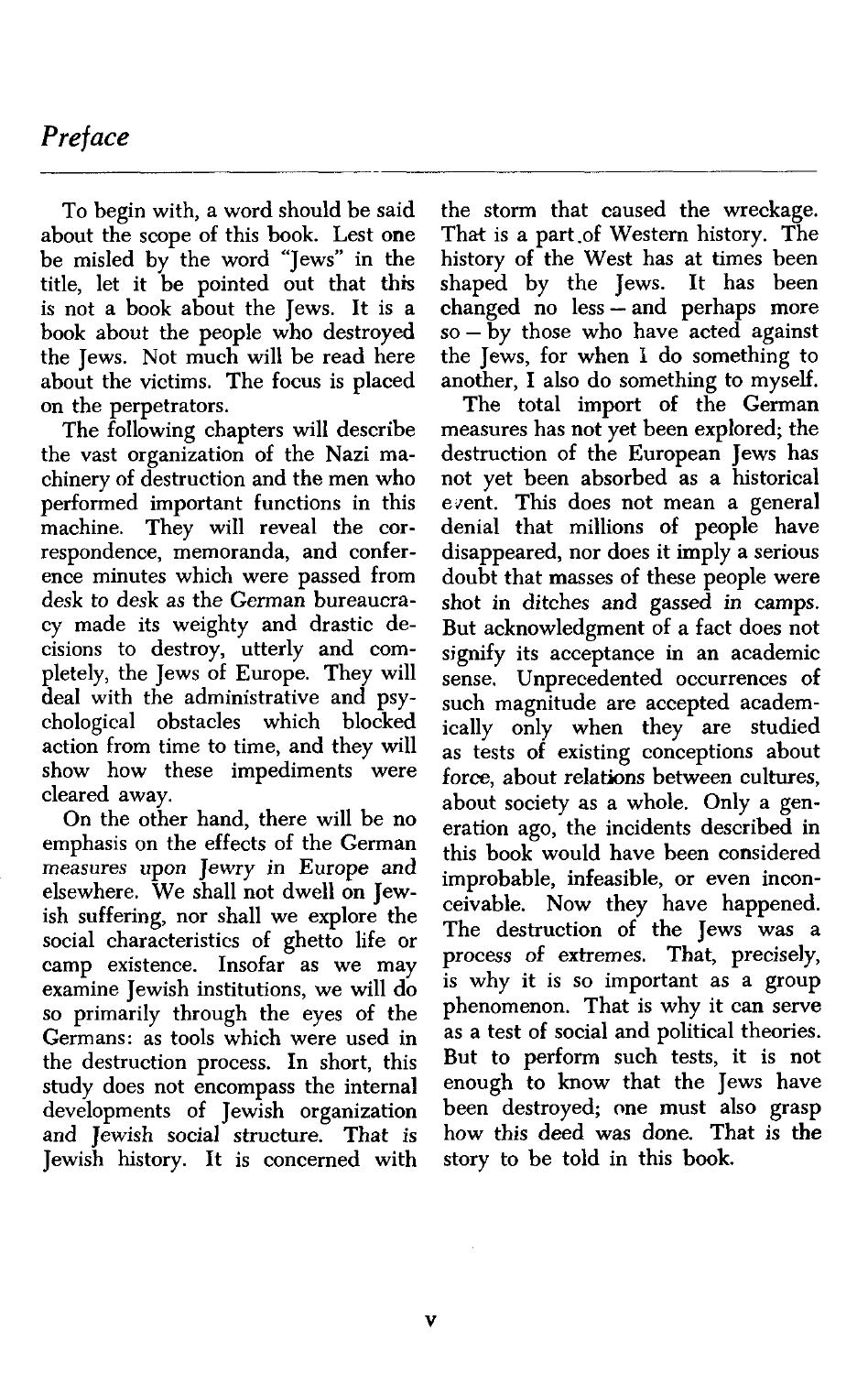To begin with, a word should be said about the scope of this book. Lest one be misled by the word "Jews" in the title, let it be pointed out that this is not a book about the Jews. It is a book about the people who destroyed the Jews. Not much will be read here about the victims. The focus is placed on the perpetrators.

The following chapters will describe the vast organization of the Nazi machinery of destruction and the men who performed important functions in this machine. They will reveal the correspondence, memoranda, and conference minutes which were passed from desk to desk as the German bureaucracy made its weighty and drastic decisions to destroy, utterly and completely, the Jews of Europe. They will deal with the administrative and psychological obstacles which blocked action from time to time, and they will show how these impediments were cleared away.

On the other hand, there will be no emphasis on the effects of the German measures upon Jewry in Europe and elsewhere. We shall not dwell on Jewish suffering, nor shall we explore the social characteristics of ghetto life or camp existence. Insofar as we may examine Jewish institutions, we will do so primarily through the eyes of the Germans: as tools which were used in the destruction process. In short, this study does not encompass the internal developments of Jewish organization and Jewish social structure. That is Jewish history. It is concerned with

the storm that caused the wreckage. That is a part .of Western history. The history of the West has at times been shaped by the Jews. It has been changed no less — and perhaps more  $so - by$  those who have acted against the Jews, for when 1 do something to another, I also do something to myself.

The total import of the German measures has not yet been explored; the destruction of the European Jews has not yet been absorbed as a historical event. This does not mean a general denial that millions of people have disappeared, nor does it imply a serious doubt that masses of these people were shot in ditches and gassed in camps. But acknowledgment of a fact does not signify its acceptance in an academic sense. Unprecedented occurrences of such magnitude are accepted academically only when they are studied as tests of existing conceptions about force, about relations between cultures, about society as a whole. Only a generation ago, the incidents described in this book would have been considered improbable, infeasible, or even inconceivable. Now they have happened. The destruction of the Jews was a process of extremes. That, precisely, is why it is so important as a group phenomenon. That is why it can serve as a test of social and political theories. But to perform such tests, it is not enough to know that the Jews have been destroyed; one must also grasp how this deed was done. That is the story to be told in this book.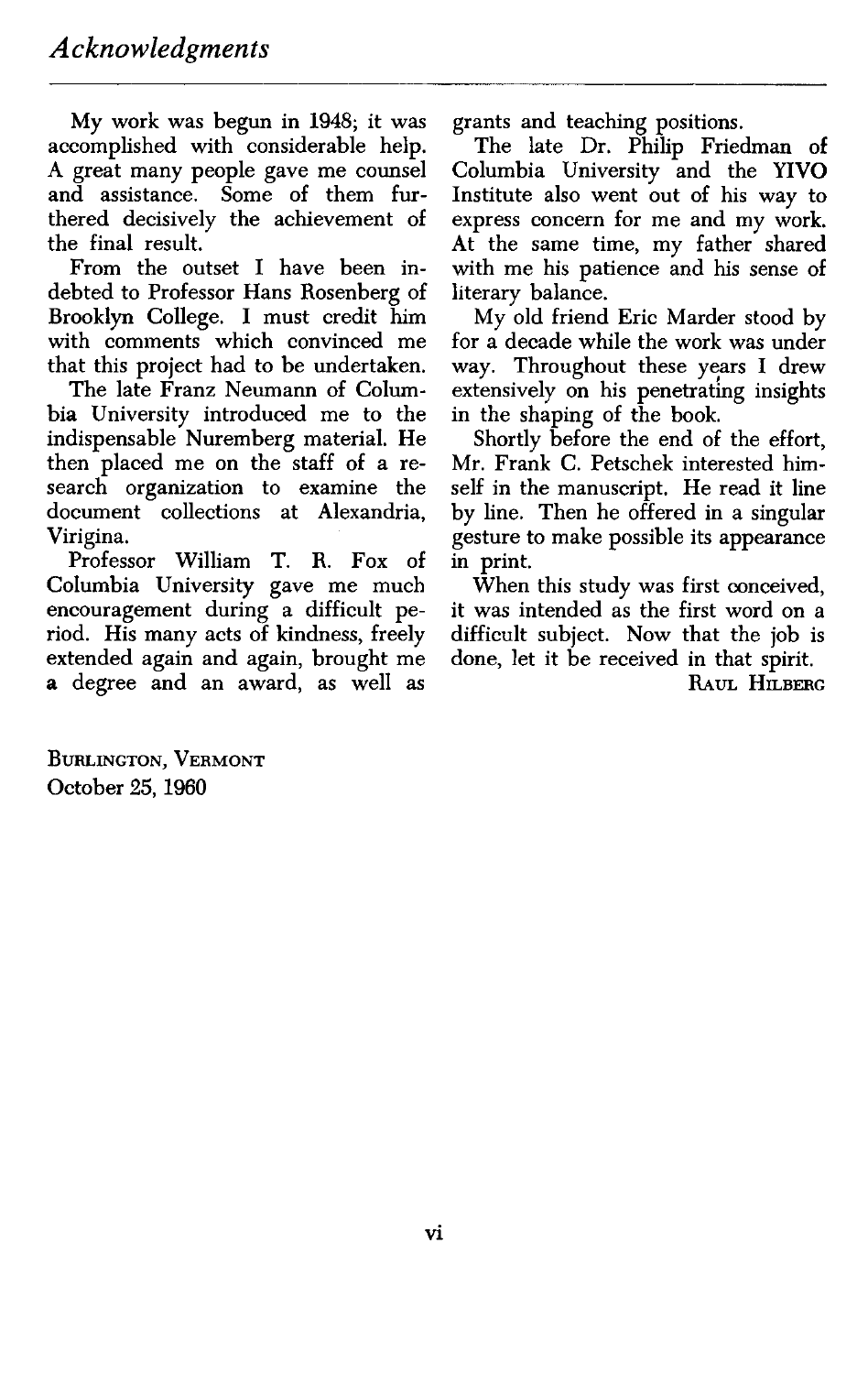My work was begun in 1948; it was accomplished with considerable help. A great many people gave me counsel and assistance. Some of them furthered decisively the achievement of the final result.

From the outset I have been indebted to Professor Hans Rosenberg of Brooklyn College. I must credit him with comments which convinced me that this project had to be undertaken.

The late Franz Neumann of Columbia University introduced me to the indispensable Nuremberg material. He then placed me on the staff of a research organization to examine the document collections at Alexandria, Virigina.

Professor William T. R. Fox of Columbia University gave me much encouragement during a difficult period. His many acts of kindness, freely extended again and again, brought me a degree and an award, as well as grants and teaching positions.

The late Dr. Philip Friedman of Columbia University and the YIVO Institute also went out of his way to express concern for me and my work. At the same time, my father shared with me his patience and his sense of literary balance.

My old friend Eric Marder stood by for a decade while the work was under way. Throughout these years I drew extensively on his penetrating insights in the shaping of the book.

Shortly before the end of the effort, Mr. Frank C. Petschek interested himself in the manuscript. He read it line by line. Then he offered in a singular gesture to make possible its appearance in print.

When this study was first conceived, it was intended as the first word on a difficult subject. Now that the job is done, let it be received in that spirit. RAUL HURERC

BURLINGTON, VERMONT October 25,1960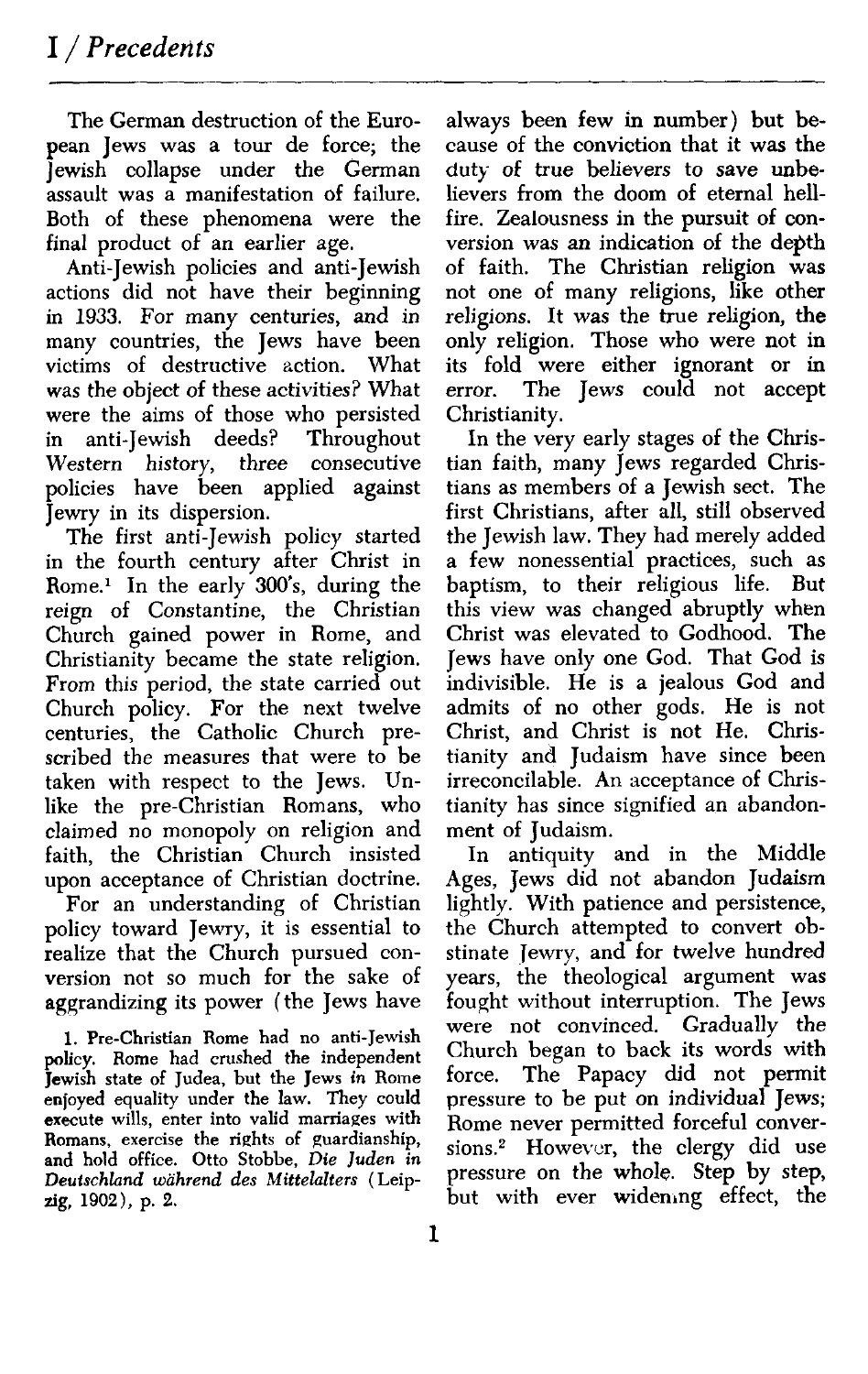The German destruction of the European Jews was a tour de force; the Jewish collapse under the German assault was a manifestation of failure. Both of these phenomena were the final product of an earlier age.

Anti-Jewish policies and anti-Jewish actions did not have their beginning in 1933. For many centuries, and in many countries, the Jews have been victims of destructive action. What was the object of these activities? What were the aims of those who persisted in anti-Jewish deeds? Throughout Western history, three consecutive policies have been applied against Jewry in its dispersion.

The first anti-Jewish policy started in the fourth century after Christ in Rome.1 In the early 300's, during the reign of Constantine, the Christian Church gained power in Rome, and Christianity became the state religion. From this period, the state carried out Church policy. For the next twelve centuries, the Catholic Church prescribed the measures that were to be taken with respect to the Jews. Unlike the pre-Christian Romans, who claimed no monopoly on religion and faith, the Christian Church insisted upon acceptance of Christian doctrine.

For an understanding of Christian policy toward Jewry, it is essential to realize that the Church pursued conversion not so much for the sake of aggrandizing its power (the Jews have

1. Pre-Christian Rome had no anti-Jewish policy. Rome had crushed the independent Jewish state of Judea, but the Jews in Rome enjoyed equality under the law. They could execute wills, enter into valid marriages with Romans, exercise the rights of guardianship, and hold office. Otto Stobbe, *Die Juden in Deutschland während des Mittelalters* (Leipzig, 1902), p. 2.

always been few in number) but because of the conviction that it was the duty of true believers to save unbelievers from the doom of eternal hellfire. Zealousness in the pursuit of conversion was an indication of the depth of faith. The Christian religion was not one of many religions, like other religions. It was the true religion, the only religion. Those who were not in its fold were either ignorant or in error. The Jews could not accept Christianity.

In the very early stages of the Christian faith, many Jews regarded Christians as members of a Jewish sect. The first Christians, after all, still observed the Jewish law. They had merely added a few nonessential practices, such as baptism, to their religious life. But this view was changed abruptly when Christ was elevated to Godhood. The Jews have only one God. That God is indivisible. He is a jealous God and admits of no other gods. He is not Christ, and Christ is not He. Christianity and Judaism have since been irreconcilable. An acceptance of Christianity has since signified an abandonment of Judaism.

In antiquity and in the Middle Ages, Jews did not abandon Judaism lightly. With patience and persistence, the Church attempted to convert obstinate Jewry, and for twelve hundred years, the theological argument was fought without interruption. The Jews were not convinced. Gradually the Church began to back its words with force. The Papacy did not permit pressure to be put on individual Jews; Rome never permitted forceful conversions.2 However, the clergy did use pressure on the whole. Step by step, but with ever widening effect, the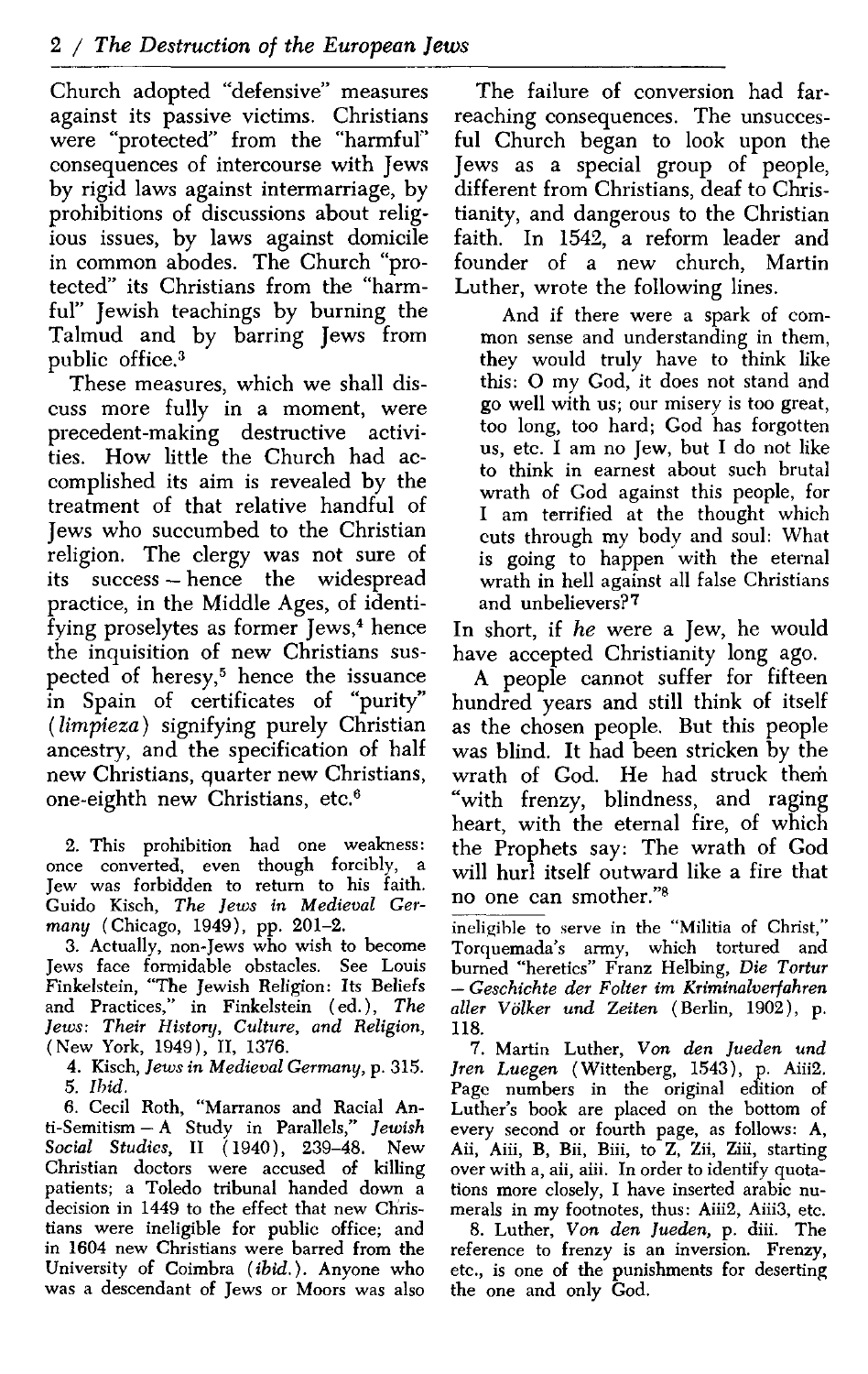Church adopted "defensive" measures against its passive victims. Christians were "protected" from the "harmful" consequences of intercourse with Jews by rigid laws against intermarriage, by prohibitions of discussions about religious issues, by laws against domicile in common abodes. The Church "protected" its Christians from the "harmful" Jewish teachings by burning the Talmud and by barring Jews from public office.3

These measures, which we shall discuss more fully in a moment, were precedent-making destructive activities. How little the Church had accomplished its aim is revealed by the treatment of that relative handful of Jews who succumbed to the Christian religion. The clergy was not sure of its success — hence the widespread practice, in the Middle Ages, of identifying proselytes as former Jews,<sup>4</sup> hence the inquisition of new Christians suspected of heresy,<sup>5</sup> hence the issuance in Spain of certificates of "purity" (*lim pieza)* signifying purely Christian ancestry, and the specification of half new Christians, quarter new Christians, one-eighth new Christians, etc.6

2. This prohibition had one weakness: once converted, even though forcibly, a Jew was forbidden to return to his faith. Guido Kisch, The Jews in Medieval Ger*many* (Chicago, 1949), pp. 201-2.

3. Actually, non-Jews who wish to become Jews face formidable obstacles. See Louis Finkelstein, "The Jewish Religion: Its Beliefs and Practices," in Finkelstein (ed.), The *Jew s: Their History, Culture, and Religion,* (New York, 1949), II, 1376.

4. Kisch, *Jew s in M edieval Germany,* p. 315. 5. *Ibid.*

6. Cecil Roth, "Marranos and Racial Anti-Semitism — A Study in Parallels," *Jew ish Social Studies*, II (1940), 239-48. New Christian doctors were accused of killing patients; a Toledo tribunal handed down a decision in 1449 to the effect that new Christians were ineligible for public office; and in 1604 new Christians were barred from the University of Coimbra *(ibid.)*. Anyone who was a descendant of Jews or Moors was also

The failure of conversion had farreaching consequences. The unsuccesful Church began to look upon the Jews as a special group of people, different from Christians, deaf to Christianity, and dangerous to the Christian faith. In 1542, a reform leader and founder of a new church, Martin Luther, wrote the following lines.

And if there were a spark of common sense and understanding in them, they would truly have to think like this: O my God, it does not stand and go well with us; our misery is too great, too long, too hard; God has forgotten us, etc. I am no Jew, but I do not like to think in earnest about such brutal wrath of God against this people, for I am terrified at the thought which cuts through my body and soul: What is going to happen with the eternal wrath in hell against all false Christians and unbelievers?7

In short, if *he* were a Jew, he would have accepted Christianity long ago.

A people cannot suffer for fifteen hundred years and still think of itself as the chosen people. But this people was blind. It had been stricken by the wrath of God. He had struck them "with frenzy, blindness, and raging heart, with the eternal fire, of which the Prophets say: The wrath of God will hurl itself outward like a fire that no one can smother."8

ineligible to serve in the "Militia of Christ," Torquemada's army, which tortured and burned "heretics" Franz Helbing, *Die Tortur* — *G eschichte der Folter im Kriminalverfahren aller Volker und* Z*eiten* (Berlin, 1902), p. 118.

7. Martin Luther, *Von den Jueden und* Jren Luegen (Wittenberg, 1543), p. Aiii2. Page numbers in the original edition of Luther's book are placed on the bottom of every second or fourth page, as follows: A, Aii, Aiii, B, Bii, Biii, to Z, Zii, Ziii, starting over with a, aii, aiii. In order to identify quotations more closely, I have inserted arabic numerals in my footnotes, thus: Aiii2, Aiii3, etc.

8. Luther, Von *den Jueden,* p. diii. The reference to frenzy is an inversion. Frenzy, etc., is one of the punishments for deserting the one and only God.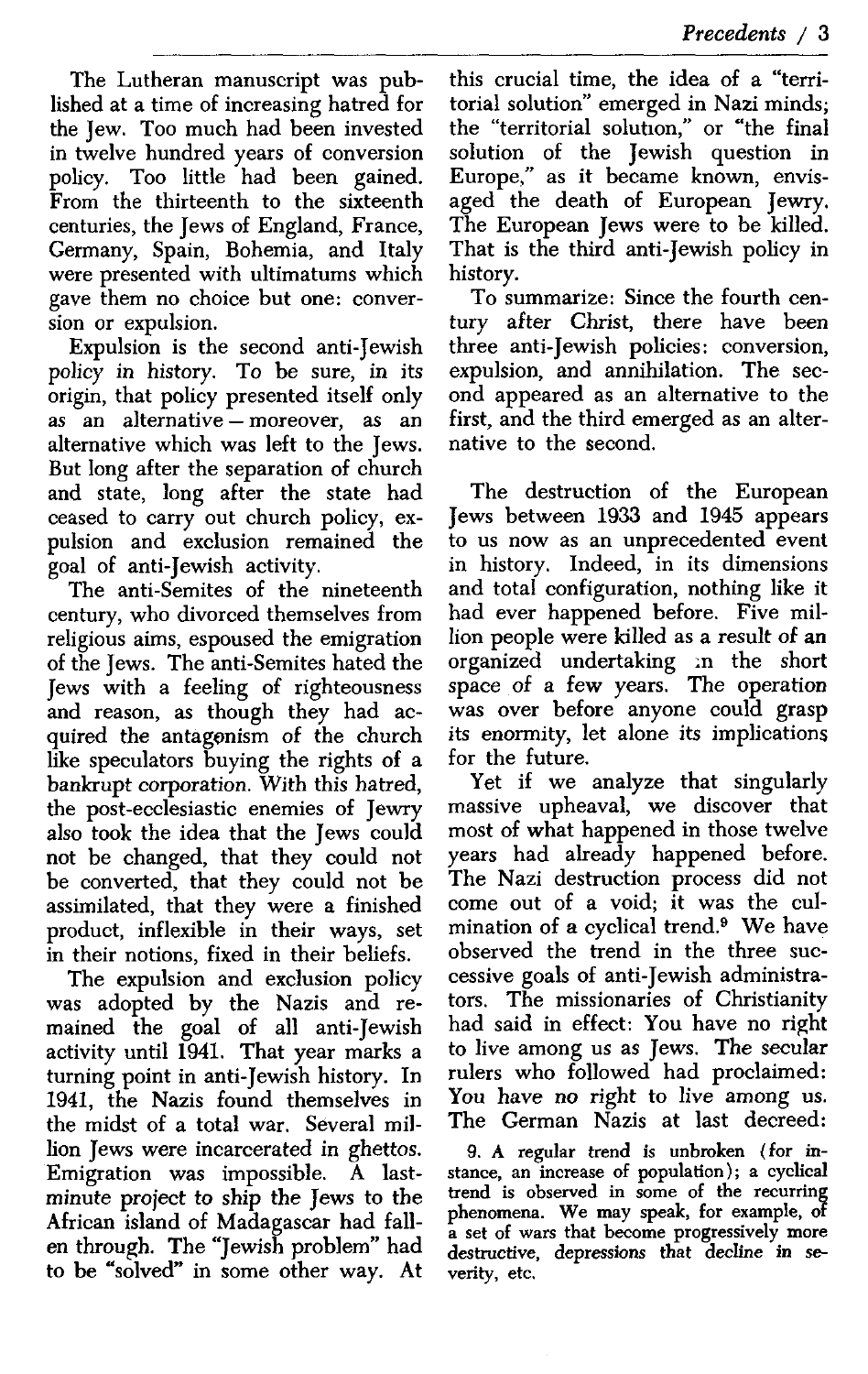The Lutheran manuscript was published at a time of increasing hatred for the Jew. Too much had been invested in twelve hundred years of conversion policy. Too little had been gained. From the thirteenth to the sixteenth centuries, the Jews of England, France, Germany, Spain, Bohemia, and Italy were presented with ultimatums which gave them no choice but one: conversion or expulsion.

Expulsion is the second anti-Jewish policy in history. To be sure, in its origin, that policy presented itself only as an alternative — moreover, as an alternative which was left to the Jews. But long after the separation of church and state, long after the state had ceased to carry out church policy, expulsion and exclusion remained the goal of anti-Jewish activity.

The anti-Semites of the nineteenth century, who divorced themselves from religious aims, espoused the emigration of the Jews. The anti-Semites hated the Jews with a feeling of righteousness and reason, as though they had acquired the antagonism of the church like speculators buying the rights of a bankrupt corporation. With this hatred, the post-ecclesiastic enemies of Jewry also took the idea that the Jews could not be changed, that they could not be converted, that they could not be assimilated, that they were a finished product, inflexible in their ways, set in their notions, fixed in their beliefs.

The expulsion and exclusion policy was adopted by the Nazis and remained the goal of all anti-Jewish activity until 1941. That year marks a turning point in anti-Jewish history. In 1941, the Nazis found themselves in the midst of a total war. Several million Jews were incarcerated in ghettos. Emigration was impossible. A lastminute project to ship the Jews to the African island of Madagascar had fallen through. The "Jewish problem" had to be "solved" in some other way. At this crucial time, the idea of a "territorial solution" emerged in Nazi minds; the "territorial solution," or "the final solution of the Jewish question in Europe," as it became known, envisaged the death of European Jewry. The European Jews were to be killed. That is the third anti-Jewish policy in history.

To summarize: Since the fourth century after Christ, there have been three anti-Jewish policies: conversion, expulsion, and annihilation. The second appeared as an alternative to the first, and the third emerged as an alternative to the second.

The destruction of the European Jews between 1933 and 1945 appears to us now as an unprecedented event in history. Indeed, in its dimensions and total configuration, nothing like it had ever happened before. Five million people were killed as a result of an organized undertaking in the short space of a few years. The operation was over before anyone could grasp its enormity, let alone its implications for the future.

Yet if we analyze that singularly massive upheaval, we discover that most of what happened in those twelve years had already happened before. The Nazi destruction process did not come out of a void; it was the culmination of a cyclical trend.9 We have observed the trend in the three successive goals of anti-Jewish administrators. The missionaries of Christianity had said in effect: You have no right to live among us as Jews. The secular rulers who followed had proclaimed: You have no right to live among us. The German Nazis at last decreed:

9. A regular trend is unbroken (for instance, an increase of population); a cyclical trend is observed in some of the recurring phenomena. We may speak, for example, of a set of wars that become progressively more destructive, depressions that decline in severity, etc.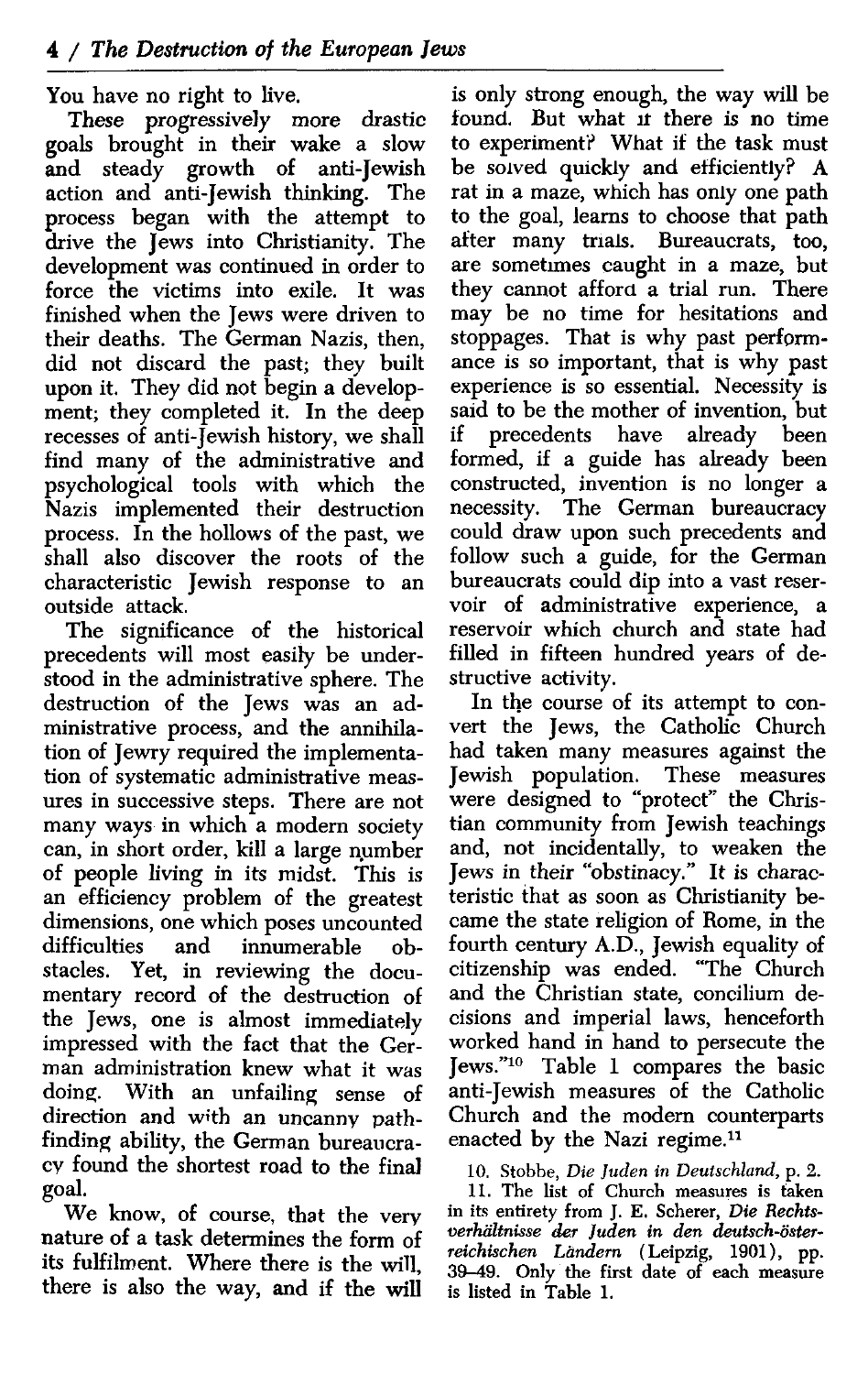You have no right to live.

*T hese* progressively more drastic goals brought in their wake a slow and steady growth of anti-Jewish action and anti-Jewish thinking. The process began with the attempt to drive the Jews into Christianity. The development was continued in order to force the victims into exile. It was finished when the Jews were driven to their deaths. The German Nazis, then, did not discard the past; they built upon it. They did not begin a development; they completed it. In the deep recesses of anti-Jewish history, we shall find many of the administrative and psychological tools with which the Nazis implemented their destruction process. In the hollows of the past, we shall also discover the roots of the characteristic Jewish response to an outside attack.

The significance of the historical precedents will most easily be understood in the administrative sphere. The destruction of the Jews was an administrative process, and the annihilation of Jewry required the implementation of systematic administrative measures in successive steps. There are not many ways in which a modern society can, in short order, kill a large number of people living in its midst. This is an efficiency problem of the greatest dimensions, one which poses uncounted difficulties and innumerable obstacles. Yet, in reviewing the documentary record of the destruction of the Jews, one is almost immediately impressed with the fact that the German administration knew what it was doing. With an unfailing sense of direction and w'th an uncanny pathfinding ability, the German bureaucracy found the shortest road to the final goal.

We know, of course, that the very nature of a task determines the form of its fulfilment. Where there is the will, there is also the way, and if the will

is only strong enough, the way will be found. But what it there is no time to experiment? What if the task must be solved quickly and efficiently? A rat in a maze, which has only one path to the goal, learns to choose that path after many trials. Bureaucrats, too, are sometimes caught in a maze, but they cannot afford a trial run. There may be no time for hesitations and stoppages. That is why past performance is so important, that is why past experience is so essential. Necessity is said to be the mother of invention, but if precedents have already been formed, if a guide has already been constructed, invention is no longer a necessity. The German bureaucracy could draw upon such precedents and follow such a guide, for the German bureaucrats could dip into a vast reservoir of administrative experience, a reservoir which church and state had filled in fifteen hundred years of destructive activity.

In the course of its attempt to convert the Jews, the Catholic Church had taken many measures against the Jewish population. These measures were designed to "protect" the Christian community from Jewish teachings and, not incidentally, to weaken the Jews in their "obstinacy." It is characteristic that as soon as Christianity became the state religion of Rome, in the fourth century A.D., Jewish equality of citizenship was ended. "The Church and the Christian state, concilium decisions and imperial laws, henceforth worked hand in hand to persecute the Jews."10 Table 1 compares the basic anti-Jewish measures of the Catholic Church and the modem counterparts enacted by the Nazi regime.11

10. Stobbe, *Die Juden in Deutschland,* p. 2.

11. The list of Church measures is taken in its entirety from J. E. Scherer, *Die Rechtsverhältnisse der Juden in den deutsch-österreichischen Ländern* (Leipzig, 1901), pp. 39-49. Only the first date of each measure is listed in Table 1.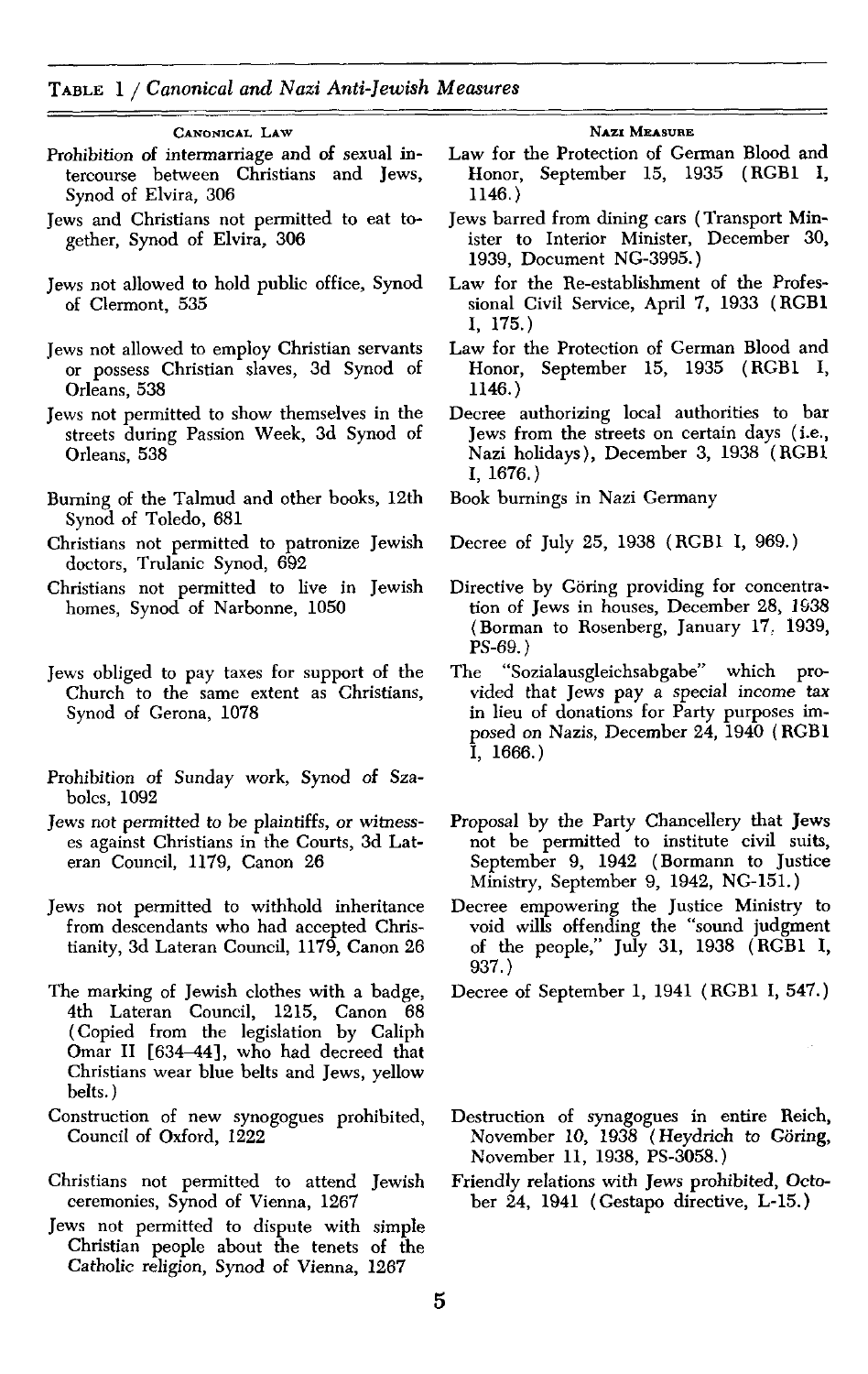TABLE 1 / Canonical and Nazi Anti-Jewish Measures

## CANONICAL LAW

- Prohibition of intermarriage and of sexual intercourse between Christians and Jews, Synod of Elvira, 306
- Jews and Christians not permitted to eat together, Synod of Elvira, 306
- Jews not allowed to hold public office, Synod of Clermont, 535
- Jews not allowed to employ Christian servants or possess Christian slaves, 3d Synod of Orleans, 538
- Jews not permitted to show themselves in the streets during Passion Week, 3d Synod of Orleans, 538
- Burning of the Talmud and other books, 12th Synod of Toledo, 681
- Christians not permitted to patronize Jewish doctors, Trulanic Synod, 692
- Christians not permitted to live in Jewish homes, Synod of Narbonne, 1050
- Jews obliged to pay taxes for support of the Church to the same extent as Christians, Synod of Gerona, 1078
- Prohibition of Sunday work, Synod of Szabolcs, 1092
- Jews not permitted to be plaintiffs, or witnesses against Christians in the Courts, 3d Lateran Council, 1179, Canon 26
- Jews not permitted to withhold inheritance from descendants who had accepted Christianity, 3d Lateran Council, 1179, Canon 26
- The marking of Jewish clothes with a badge, 4th Lateran Council, 1215, Canon 68 ( Copied from the legislation by Caliph Omar II [634—44], who had decreed that Christians wear blue belts and Jews, yellow belts.)
- Construction of new synogogues prohibited, Council of Oxford, 1222
- Christians not permitted to attend Jewish ceremonies, Synod of Vienna, 1267
- Jews not permitted to dispute with simple Christian people about the tenets of the Catholic religion, Synod of Vienna, 1267

## NAZI MEASURE

- Law for the Protection of German Blood and Honor, September 15, 1935 (RGB1 I, 1146.)
- Jews barred from dining cars ( Transport Minister to Interior Minister, December 30, 1939, Document NG-3995.)
- Law for the Re-establishment of the Professional Civil Service, April 7, 1933 (RGB1 I, 175.)
- Law for the Protection of German Blood and Honor, September 15, 1935 (RGB1 I, 1146.)
- Decree authorizing local authorities to bar Jews from the streets on certain days (i.e., Nazi holidays), December 3, 1938 (RGB1 I, 1676.)
- Book burnings in Nazi Germany
- Decree of July 25, 1938 (RGB1 I, 969.)
- Directive by Göring providing for concentration of Jews in houses, December 28, 1938 (Borman to Rosenberg, January 17. 1939, PS-69.)
- The "Sozialausgleichsabgabe" which provided that Jews pay a special income tax in lieu of donations for Party purposes imposed on Nazis, December 24, 1940 {RGB1  $\hat{I}$ , 1666.)
- Proposal by the Party Chancellery that Jews not be permitted to institute civil suits, September 9, 1942 (Bormann to Justice Ministry, September 9, 1942, NG-151.)
- Decree empowering the Justice Ministry to void wills offending the "sound judgment of the people," July 31, 1938 (RGB1 I, 937.)
- Decree of September 1, 1941 (RGB1 I, 547.)
- Destruction of synagogues in entire Reich, November 10, 1938 (Heydrich to Goring, November 11, 1938, PS-3058.)
- Friendly relations with Jews prohibited, October 24, 1941 (Gestapo directive, L -15.)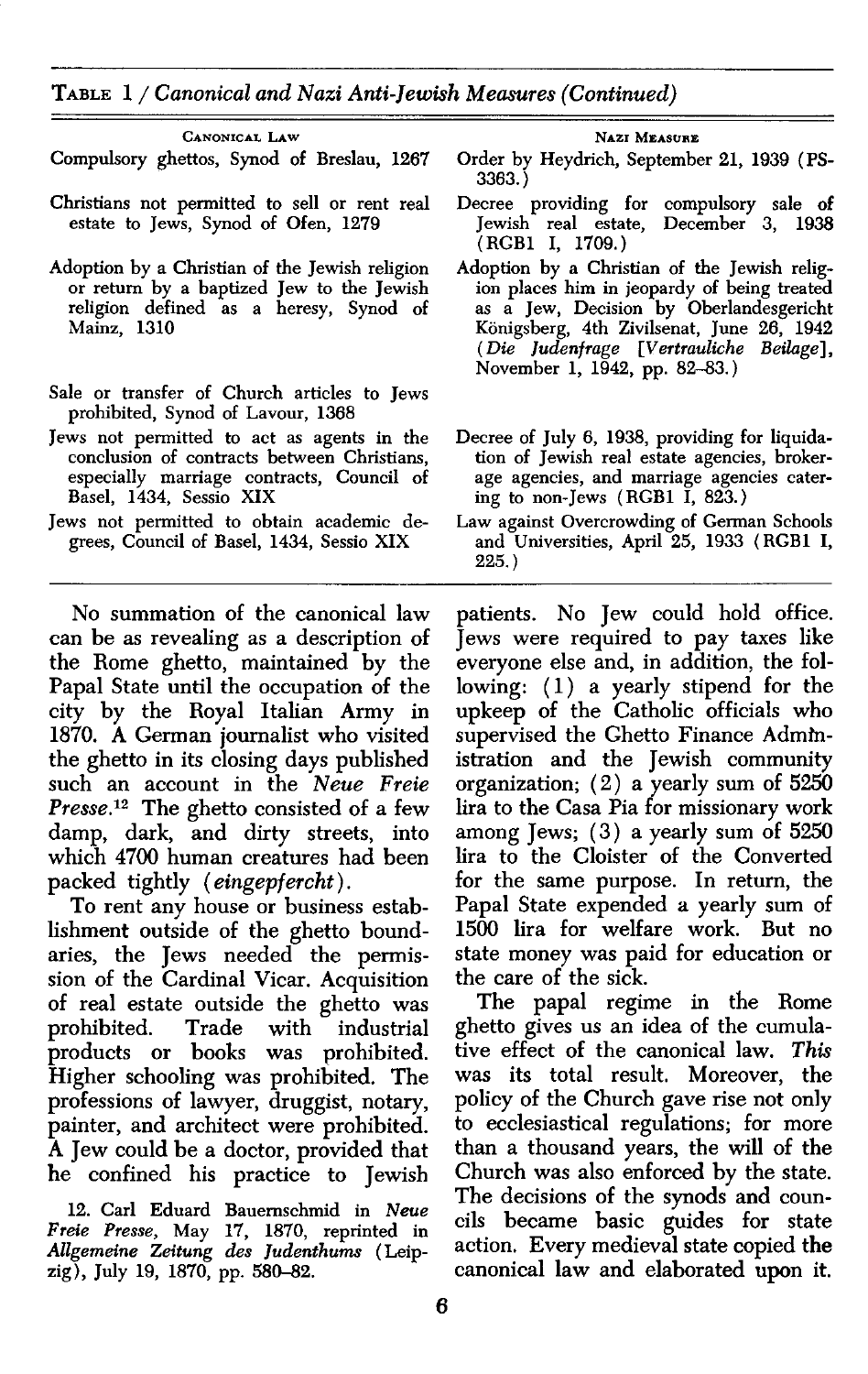TABLE 1 / *Canonical and Nazi Anti-Jewish Measures (Continued)* 

CANONICAL LAW

Compulsory ghettos, Synod of Breslau, 1267

- Christians not permitted to sell or rent real estate to Jews, Synod of Ofen, 1279
- Adoption by a Christian of the Jewish religion or return by a baptized Jew to the Jewish religion defined as a heresy, Synod of Mainz, 1310
- Sale or transfer of Church articles to Jews prohibited, Synod of Lavour, 1368
- Jews not permitted to act as agents in the conclusion of contracts between Christians, especially marriage contracts, Council of Basel, 1434, Sessio XIX
- Jews not permitted to obtain academic degrees, Council of Basel, 1434, Sessio XIX

No summation of the canonical law can be as revealing as a description of the Rome ghetto, maintained by the Papal State until the occupation of the city by the Royal Italian Army in 1870. A German journalist who visited the ghetto in its closing days published such an account in the *Neue Freie Presse.12* The ghetto consisted of a few damp, dark, and dirty streets, into which 4700 human creatures had been packed tightly *(eingepfercht)*.

To rent any house or business establishment outside of the ghetto boundaries, the Jews needed the permission of the Cardinal Vicar. Acquisition of real estate outside the ghetto was prohibited. Trade with industrial products or books was prohibited. Higher schooling was prohibited. The professions of lawyer, druggist, notary, painter, and architect were prohibited. A Jew could be a doctor, provided that he confined his practice to Jewish

12. Carl Eduard Bauernschmid in Neue *F reie Presse,* May 17, 1870, reprinted in Allgemeine Zeitung des Judenthums (Leipzig), July 19, 1870, pp. 580-82.

NAZI MEASURE

- Order by Heydrich, September 21, 1939 (PS-3363.)
- Decree providing for compulsory sale of Jewish real estate, December 3, 1938 (RGB1 I, 1709.)
- Adoption by a Christian of the Jewish religion places him in jeopardy of being treated as a Jew, Decision by Oberlandesgericht Königsberg, 4th Zivilsenat, June 26, 1942 *( D ie Judenfrage [Vertrauliche Beilage*], November 1, 1942, pp. 82-83.)
- Decree of July 6, 1938, providing for liquidation of Jewish real estate agencies, brokerage agencies, and marriage agencies catering to non-Jews (RGB1 I, 823.)
- Law against Overcrowding of German Schools and Universities, April 25, 1933 (RGB1 I, 225.)

patients. No Jew could hold office. Jews were required to pay taxes like everyone else and, in addition, the following: (1) a yearly stipend for the upkeep of the Catholic officials who supervised the Ghetto Finance Administration and the Jewish community organization; (2) a yearly sum of 5250 lira to the Casa Pia for missionary work among Jews; (3) a yearly sum of 5250 lira to the Cloister of the Converted for the same purpose. In return, the Papal State expended a yearly sum of 1500 lira for welfare work. But no state money was paid for education or the care of the sick.

The papal regime in the Rome ghetto gives us an idea of the cumulative effect of the canonical law. *This* was its total result. Moreover, the policy of the Church gave rise not only to ecclesiastical regulations; for more than a thousand years, the will of the Church was also enforced by the state. The decisions of the synods and councils became basic guides for state action. Every medieval state copied the canonical law and elaborated upon it.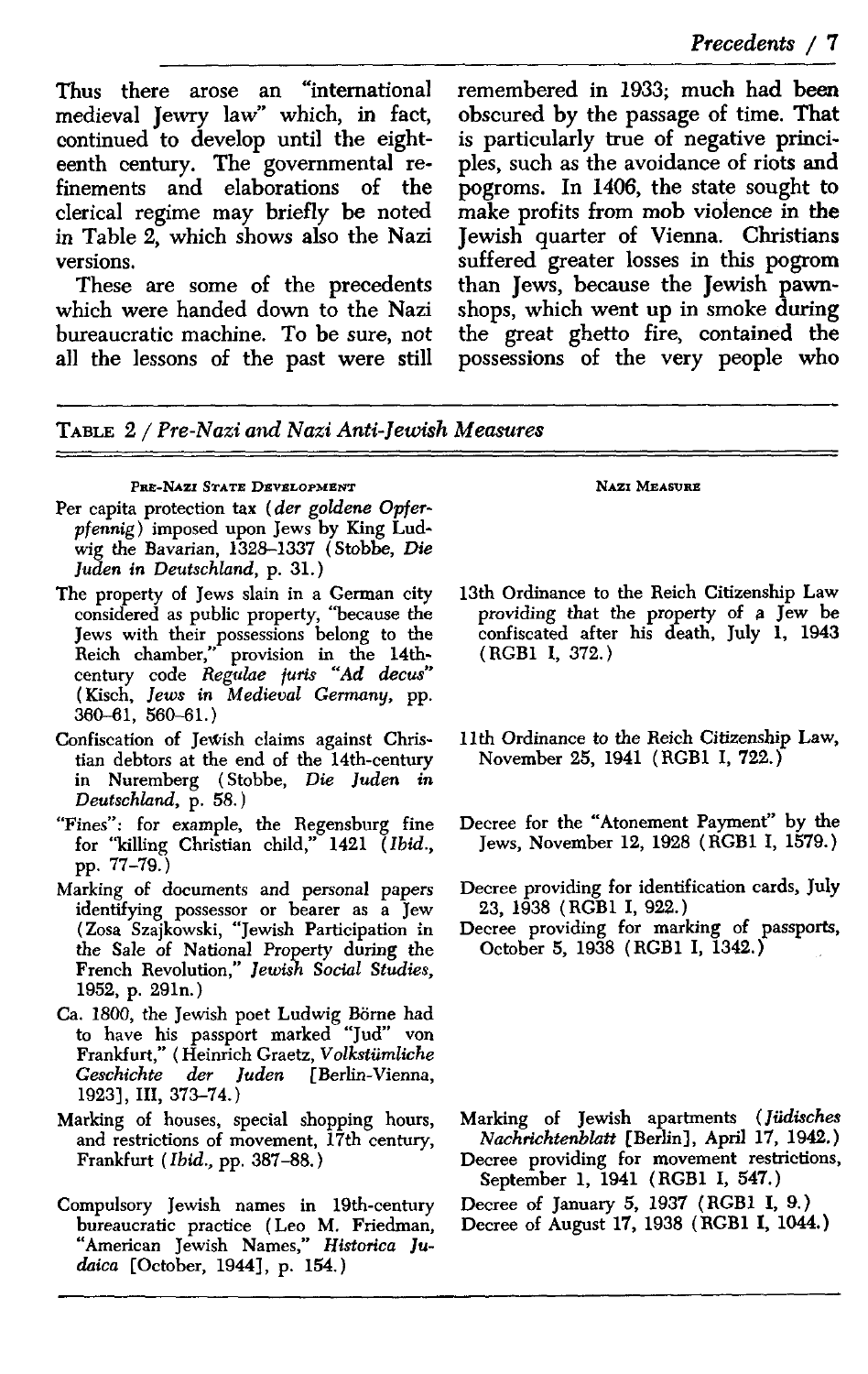Thus there arose an "international medieval Jewry law" which, in fact, continued to develop until the eighteenth century. The governmental refinements and elaborations of the clerical regime may briefly be noted in Table 2, which shows also the Nazi versions.

These are some of the precedents which were handed down to the Nazi bureaucratic machine. To be sure, not all the lessons of the past were still remembered in 1933; much had been obscured by the passage of time. That is particularly true of negative principles, such as the avoidance of riots and pogroms. In 1406, the state sought to make profits from mob violence in the Jewish quarter of Vienna. Christians suffered greater losses in this pogrom than Jews, because the Jewish pawnshops, which went up in smoke during the great ghetto fire, contained the possessions of the very people who

|  |  |  |  | TABLE 2 / Pre-Nazi and Nazi Anti-Jewish Measures |  |
|--|--|--|--|--------------------------------------------------|--|
|--|--|--|--|--------------------------------------------------|--|

PRE-NAZI STATE DEVELOPMENT

- Per capita protection tax (der goldene Opfer*pfennig)* imposed upon Jews by King Ludwig the Bavarian, 1328-1337 (Stobbe, *Die Juden in Deutschland,* p. 31.)
- The property of Jews slain in a German city considered as public property, "because the Jews with their possessions belong to the Reich chamber," provision in the 14thcentury code *Regulae juris "A d decus*" (Kisch, *Jew s in M edieval Germany,* pp. 360-61, 560-61.)
- Confiscation of Jewish claims against Christian debtors at the end of the 14th-century in Nuremberg (Stobbe, *Die Juden in Deutschland,* p. 58.)
- "Fines": for example, the Regensburg fine for "killing Christian child," 1421 *(Ibid .,* pp. 77-79.)
- Marking of documents and personal papers identifying possessor or bearer as a Jew (Zosa Szajkowski, "Jewish Participation in the Sale of National Property during the French Revolution," *Jew ish Social Studies*, 1952, p. 291n.)
- Ca. 1800, the Jewish poet Ludwig Börne had to have his passport marked "Jud" von Frankfurt," (Heinrich Graetz, *Volkstümliche G eschichte der Juden* [Berlin-Vienna, 1923], III, 373-74.)
- Marking of houses, special shopping hours, and restrictions of movement, 17th century, Frankfurt ( *Ibid.,* pp. 387-88. )
- Compulsory Jewish names in 19th-century bureaucratic practice (Leo M. Friedman, "American Jewish Names," *Histórica Judaica* [October, 1944], p. 154.)

## NAZI MEASURE

- 13th Ordinance to the Reich Citizenship Law providing that the property of a Jew be confiscated after his death, July 1, 1943 (RG B1 I, 372.)
- 11th Ordinance to the Reich Citizenship Law, November 25, 1941 (RGB1 I, 722.)
- Decree for the "Atonement Payment" by the Jews, November 12, 1928 (RGB1 I, 1579.)
- Decree providing for identification cards, July 23, 1938 (RGB1 I, 922.)
- Decree providing for marking of passports, October 5, 1938 (RGB1 I, 1342.)

- Marking of Jewish apartments ( *Jüdisches N achrichtenblatt* [Berlin], April 17, 1942.)
- Decree providing for movement restrictions, September 1, 1941 (RGB1 I, 547.)
- Decree of January 5, 1937 (RGB $1$  I, 9.)
- Decree of August 17, 1938 (RGB1 I, 1044.)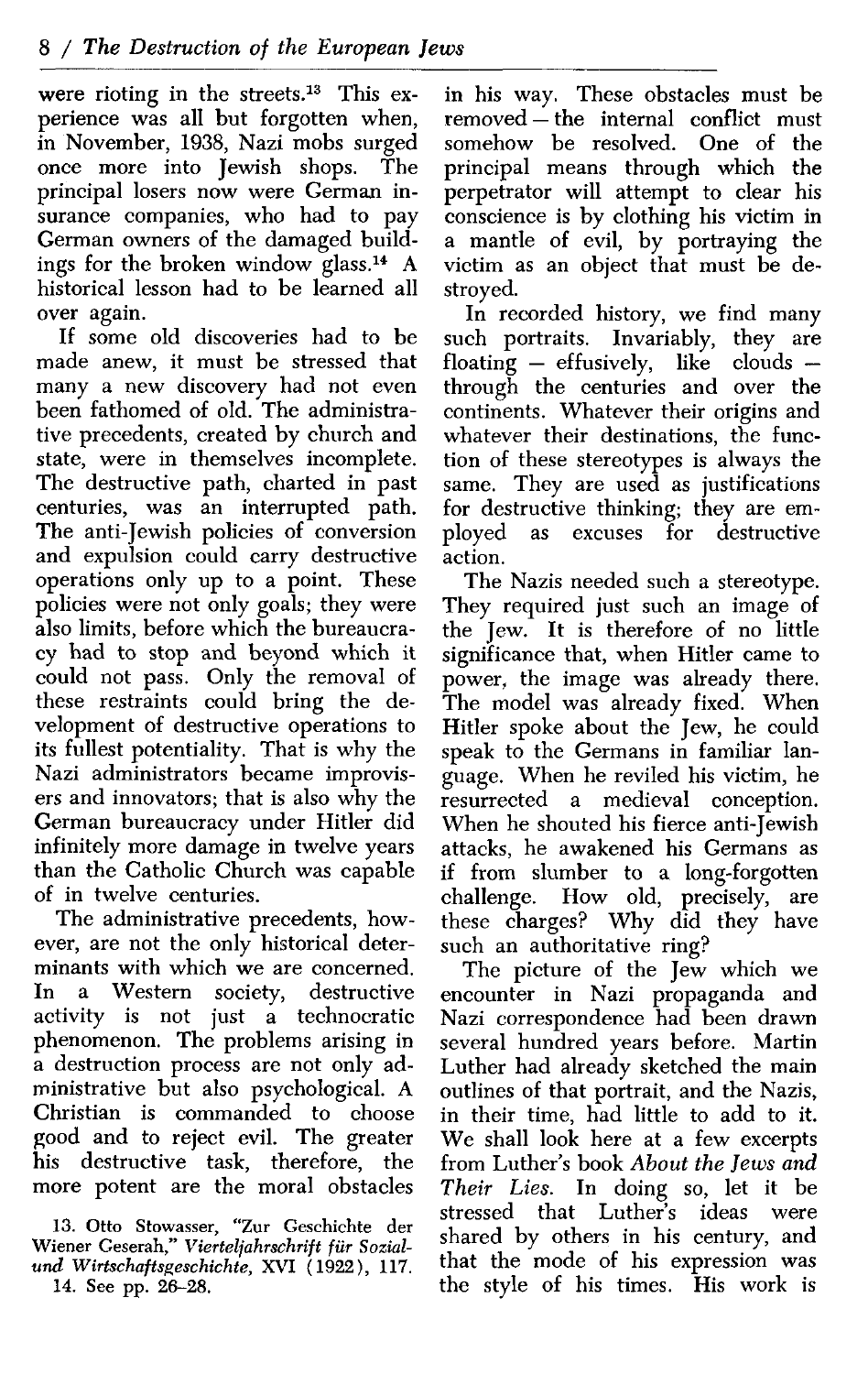were rioting in the streets.<sup>13</sup> This experience was all but forgotten when, in November, 1938, Nazi mobs surged once more into Jewish shops. The principal losers now were German insurance companies, who had to pay German owners of the damaged buildings for the broken window glass.14 A historical lesson had to be learned all over again.

If some old discoveries had to be made anew, it must be stressed that many a new discovery had not even been fathomed of old. The administrative precedents, created by church and state, were in themselves incomplete. The destructive path, charted in past centuries, was an interrupted path. The anti-Jewish policies of conversion and expulsion could carry destructive operations only up to a point. These policies were not only goals; they were also limits, before which the bureaucracy had to stop and beyond which it could not pass. Only the removal of these restraints could bring the development of destructive operations to its fullest potentiality. That is why the Nazi administrators became improvisers and innovators; that is also why the German bureaucracy under Hitler did infinitely more damage in twelve years than the Catholic Church was capable of in twelve centuries.

The administrative precedents, however, are not the only historical determinants with which we are concerned. In a Western society, destructive activity is not just a technocratic phenomenon. The problems arising in a destruction process are not only administrative but also psychological. A Christian is commanded to choose good and to reject evil. The greater his destructive task, therefore, the more potent are the moral obstacles

13. Otto Stowasser, "Zur Geschichte der Wiener Geserah," *Vierteljahrschrift fiir Sozial*und Wirtschaftsgeschichte, XVI (1922), 117. 14. See pp. 26-28.

in his way. These obstacles must be removed — the internal conflict must somehow be resolved. One of the principal means through which the perpetrator will attempt to clear his conscience is by clothing his victim in a mantle of evil, by portraying the victim as an object that must be destroyed.

In recorded history, we find many such portraits. Invariably, they are floating — effusively, like clouds through the centuries and over the continents. Whatever their origins and whatever their destinations, the function of these stereotypes is always the same. They are used as justifications for destructive thinking; they are employed as excuses for destructive action.

The Nazis needed such a stereotype. They required just such an image of the Jew. It is therefore of no little significance that, when Hitler came to power, the image was already there. The model was already fixed. When Hitler spoke about the Jew, he could speak to the Germans in familiar language. When he reviled his victim, he resurrected a medieval conception. When he shouted his fierce anti-Jewish attacks, he awakened his Germans as if from slumber to a long-forgotten challenge. How old, precisely, are these charges? Why did they have such an authoritative ring?

The picture of the Jew which we encounter in Nazi propaganda and Nazi correspondence had been drawn several hundred years before. Martin Luther had already sketched the main outlines of that portrait, and the Nazis, in their time, had little to add to it. We shall look here at a few excerpts from Luther's book *About the Jews and Their Lies.* In doing so, let it be stressed that Luther's ideas were shared by others in his century, and that the mode of his expression was the style of his times. His work is